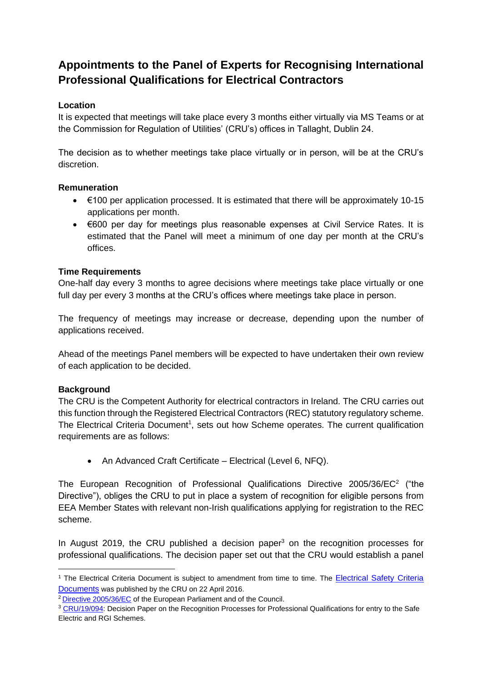# **Appointments to the Panel of Experts for Recognising International Professional Qualifications for Electrical Contractors**

# **Location**

It is expected that meetings will take place every 3 months either virtually via MS Teams or at the Commission for Regulation of Utilities' (CRU's) offices in Tallaght, Dublin 24.

The decision as to whether meetings take place virtually or in person, will be at the CRU's discretion.

# **Remuneration**

- $\bullet$   $\in$  100 per application processed. It is estimated that there will be approximately 10-15 applications per month.
- €600 per day for meetings plus reasonable expenses at Civil Service Rates. It is estimated that the Panel will meet a minimum of one day per month at the CRU's offices.

# **Time Requirements**

One-half day every 3 months to agree decisions where meetings take place virtually or one full day per every 3 months at the CRU's offices where meetings take place in person.

The frequency of meetings may increase or decrease, depending upon the number of applications received.

Ahead of the meetings Panel members will be expected to have undertaken their own review of each application to be decided.

# **Background**

The CRU is the Competent Authority for electrical contractors in Ireland. The CRU carries out this function through the Registered Electrical Contractors (REC) statutory regulatory scheme. The Electrical Criteria Document<sup>1</sup>, sets out how Scheme operates. The current qualification requirements are as follows:

• An Advanced Craft Certificate – Electrical (Level 6, NFQ).

The European Recognition of Professional Qualifications Directive  $2005/36/EC^2$  ("the Directive"), obliges the CRU to put in place a system of recognition for eligible persons from EEA Member States with relevant non-Irish qualifications applying for registration to the REC scheme.

In August 2019, the CRU published a decision paper<sup>3</sup> on the recognition processes for professional qualifications. The decision paper set out that the CRU would establish a panel

<sup>&</sup>lt;sup>1</sup> The Electrical Criteria Document is subject to amendment from time to time. The Electrical Safety Criteria [Documents](https://mk0cruiefjep6wj7niq.kinstacdn.com/wp-content/uploads/2016/07/CER16001-Electrical-Safety-Supervisory-Criteria-Document-Version-3.0.pdf) was published by the CRU on 22 April 2016.

<sup>2</sup> [Directive 2005/36/EC](http://eur-lex.europa.eu/legal-content/EN/TXT/?uri=CELEX:02005L0036-20140117) of the European Parliament and of the Council.

<sup>&</sup>lt;sup>3</sup> [CRU/19/094:](https://www.cru.ie/wp-content/uploads/2019/08/CRU19103-Decision-Paper-on-the-Proposed-Recognition-Processes-Professional-Qualifications-Gas-and-Electrical.pdf) Decision Paper on the Recognition Processes for Professional Qualifications for entry to the Safe Electric and RGI Schemes.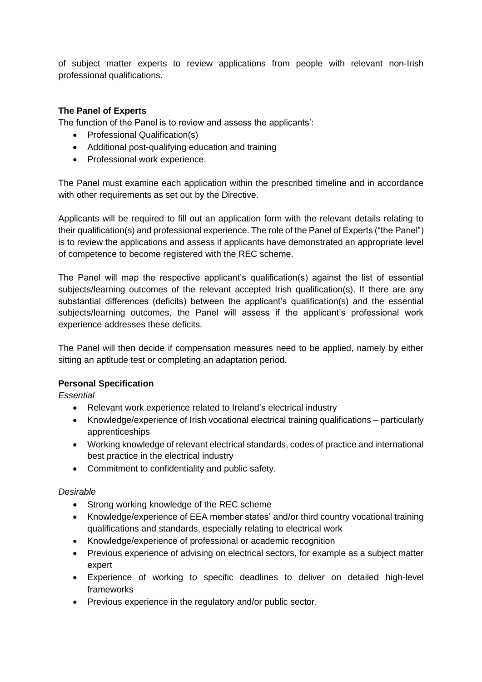of subject matter experts to review applications from people with relevant non-Irish professional qualifications.

# **The Panel of Experts**

The function of the Panel is to review and assess the applicants':

- Professional Qualification(s)
- Additional post-qualifying education and training
- Professional work experience.

The Panel must examine each application within the prescribed timeline and in accordance with other requirements as set out by the Directive.

Applicants will be required to fill out an application form with the relevant details relating to their qualification(s) and professional experience. The role of the Panel of Experts ("the Panel") is to review the applications and assess if applicants have demonstrated an appropriate level of competence to become registered with the REC scheme.

The Panel will map the respective applicant's qualification(s) against the list of essential subjects/learning outcomes of the relevant accepted Irish qualification(s). If there are any substantial differences (deficits) between the applicant's qualification(s) and the essential subjects/learning outcomes, the Panel will assess if the applicant's professional work experience addresses these deficits.

The Panel will then decide if compensation measures need to be applied, namely by either sitting an aptitude test or completing an adaptation period.

#### **Personal Specification**

*Essential*

- Relevant work experience related to Ireland's electrical industry
- Knowledge/experience of Irish vocational electrical training qualifications particularly apprenticeships
- Working knowledge of relevant electrical standards, codes of practice and international best practice in the electrical industry
- Commitment to confidentiality and public safety.

#### *Desirable*

- Strong working knowledge of the REC scheme
- Knowledge/experience of EEA member states' and/or third country vocational training qualifications and standards, especially relating to electrical work
- Knowledge/experience of professional or academic recognition
- Previous experience of advising on electrical sectors, for example as a subject matter expert
- Experience of working to specific deadlines to deliver on detailed high-level frameworks
- Previous experience in the regulatory and/or public sector.